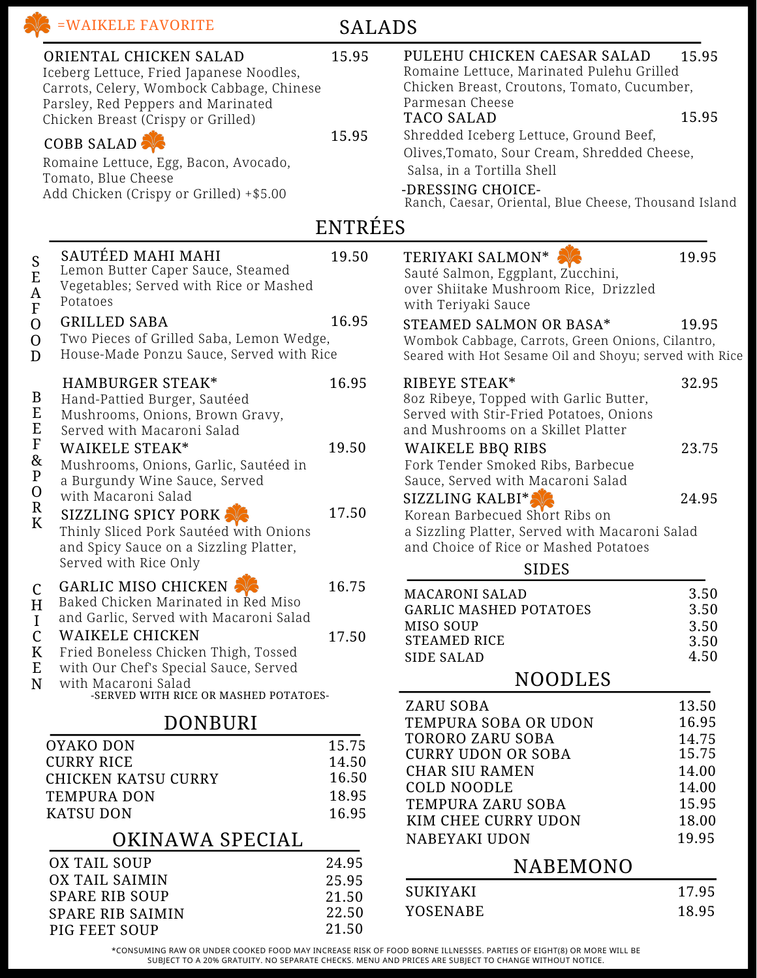|                                                                                                  | ORIENTAL CHICKEN SALAD<br>Iceberg Lettuce, Fried Japanese Noodles,<br>Carrots, Celery, Wombock Cabbage, Chinese<br>Parsley, Red Peppers and Marinated<br>Chicken Breast (Crispy or Grilled)<br><b>COBB SALAD:</b><br>Romaine Lettuce, Egg, Bacon, Avocado,<br>Tomato, Blue Cheese<br>Add Chicken (Crispy or Grilled) +\$5.00 | 15.95<br>15.95 | PULEHU CHICKEN CAESAR SALAD<br>Romaine Lettuce, Marinated Pulehu Grilled<br>Chicken Breast, Croutons, Tomato, Cucumber,<br>Parmesan Cheese<br><b>TACO SALAD</b><br>Shredded Iceberg Lettuce, Ground Beef,<br>Olives, Tomato, Sour Cream, Shredded Cheese,<br>Salsa, in a Tortilla Shell<br>-DRESSING CHOICE-<br>Ranch, Caesar, Oriental, Blue Cheese, Thousand Island | 15.95<br>15.95       |
|--------------------------------------------------------------------------------------------------|------------------------------------------------------------------------------------------------------------------------------------------------------------------------------------------------------------------------------------------------------------------------------------------------------------------------------|----------------|-----------------------------------------------------------------------------------------------------------------------------------------------------------------------------------------------------------------------------------------------------------------------------------------------------------------------------------------------------------------------|----------------------|
|                                                                                                  |                                                                                                                                                                                                                                                                                                                              | <b>ENTRÉES</b> |                                                                                                                                                                                                                                                                                                                                                                       |                      |
| S<br>E<br>$\mathbf A$<br>$\overline{F}$                                                          | SAUTÉED MAHI MAHI<br>Lemon Butter Caper Sauce, Steamed<br>Vegetables; Served with Rice or Mashed<br>Potatoes                                                                                                                                                                                                                 | 19.50          | TERIYAKI SALMON*<br>Sauté Salmon, Eggplant, Zucchini,<br>over Shiitake Mushroom Rice, Drizzled<br>with Teriyaki Sauce                                                                                                                                                                                                                                                 | 19.95                |
| $\mathbf{O}$<br>$\mathbf{O}$<br>D                                                                | 16.95<br><b>GRILLED SABA</b><br>Two Pieces of Grilled Saba, Lemon Wedge,<br>House-Made Ponzu Sauce, Served with Rice                                                                                                                                                                                                         |                | STEAMED SALMON OR BASA*<br>19.95<br>Wombok Cabbage, Carrots, Green Onions, Cilantro,<br>Seared with Hot Sesame Oil and Shoyu; served with Rice                                                                                                                                                                                                                        |                      |
| B<br>E<br>$E$<br>$F$<br>&<br>${\bf P}$<br>$\mathbf 0$<br>${\bf R}$<br>K                          | <b>HAMBURGER STEAK*</b><br>Hand-Pattied Burger, Sautéed<br>Mushrooms, Onions, Brown Gravy,<br>Served with Macaroni Salad                                                                                                                                                                                                     | 16.95          | RIBEYE STEAK*<br>80z Ribeye, Topped with Garlic Butter,<br>Served with Stir-Fried Potatoes, Onions<br>and Mushrooms on a Skillet Platter                                                                                                                                                                                                                              | 32.95                |
|                                                                                                  | <b>WAIKELE STEAK*</b><br>Mushrooms, Onions, Garlic, Sautéed in<br>a Burgundy Wine Sauce, Served<br>with Macaroni Salad                                                                                                                                                                                                       | 19.50          | <b>WAIKELE BBQ RIBS</b><br>Fork Tender Smoked Ribs, Barbecue<br>Sauce, Served with Macaroni Salad<br>SIZZLING KALBI*                                                                                                                                                                                                                                                  | 23.75<br>24.95       |
|                                                                                                  | <b>SIZZLING SPICY PORK</b><br>Thinly Sliced Pork Sautéed with Onions<br>and Spicy Sauce on a Sizzling Platter,<br>Served with Rice Only                                                                                                                                                                                      | 17.50          | Korean Barbecued Short Ribs on<br>a Sizzling Platter, Served with Macaroni Salad<br>and Choice of Rice or Mashed Potatoes<br><b>SIDES</b>                                                                                                                                                                                                                             |                      |
| $\mathcal{C}$<br>H<br>$\mathbf I$                                                                | GARLIC MISO CHICKEN<br>Baked Chicken Marinated in Red Miso<br>and Garlic, Served with Macaroni Salad                                                                                                                                                                                                                         | 16.75          | <b>MACARONI SALAD</b><br><b>GARLIC MASHED POTATOES</b><br>MISO SOUP                                                                                                                                                                                                                                                                                                   | 3.50<br>3.50<br>3.50 |
| $\mathsf{C}$<br>K<br>E                                                                           | <b>WAIKELE CHICKEN</b><br>Fried Boneless Chicken Thigh, Tossed<br>with Our Chef's Special Sauce, Served                                                                                                                                                                                                                      | 17.50          | <b>STEAMED RICE</b><br><b>SIDE SALAD</b>                                                                                                                                                                                                                                                                                                                              | 3.50<br>4.50         |
| N                                                                                                | with Macaroni Salad<br>-SERVED WITH RICE OR MASHED POTATOES-                                                                                                                                                                                                                                                                 |                | <b>NOODLES</b>                                                                                                                                                                                                                                                                                                                                                        |                      |
| <b>DONBURI</b>                                                                                   |                                                                                                                                                                                                                                                                                                                              |                | <b>ZARU SOBA</b><br>TEMPURA SOBA OR UDON                                                                                                                                                                                                                                                                                                                              | 13.50<br>16.95       |
| <b>OYAKO DON</b><br><b>CURRY RICE</b><br><b>CHICKEN KATSU CURRY</b>                              |                                                                                                                                                                                                                                                                                                                              | 15.75          | <b>TORORO ZARU SOBA</b><br><b>CURRY UDON OR SOBA</b>                                                                                                                                                                                                                                                                                                                  | 14.75<br>15.75       |
|                                                                                                  |                                                                                                                                                                                                                                                                                                                              | 14.50<br>16.50 | <b>CHAR SIU RAMEN</b>                                                                                                                                                                                                                                                                                                                                                 | 14.00                |
| <b>TEMPURA DON</b>                                                                               |                                                                                                                                                                                                                                                                                                                              | 18.95          | <b>COLD NOODLE</b>                                                                                                                                                                                                                                                                                                                                                    | 14.00                |
| <b>KATSU DON</b><br>16.95<br>OKINAWA SPECIAL<br>24.95<br>OX TAIL SOUP<br>OX TAIL SAIMIN<br>25.95 |                                                                                                                                                                                                                                                                                                                              |                | TEMPURA ZARU SOBA<br>KIM CHEE CURRY UDON                                                                                                                                                                                                                                                                                                                              | 15.95<br>18.00       |
|                                                                                                  |                                                                                                                                                                                                                                                                                                                              |                | <b>NABEYAKI UDON</b>                                                                                                                                                                                                                                                                                                                                                  | 19.95                |
|                                                                                                  |                                                                                                                                                                                                                                                                                                                              |                | <b>NABEMONO</b>                                                                                                                                                                                                                                                                                                                                                       |                      |
|                                                                                                  |                                                                                                                                                                                                                                                                                                                              |                | <b>SUKIYAKI</b>                                                                                                                                                                                                                                                                                                                                                       | 17.95                |
|                                                                                                  | <b>SPARE RIB SOUP</b><br>SPARE RIB SAIMIN                                                                                                                                                                                                                                                                                    | 21.50<br>22.50 | YOSENABE                                                                                                                                                                                                                                                                                                                                                              | 18.95                |
|                                                                                                  |                                                                                                                                                                                                                                                                                                                              |                |                                                                                                                                                                                                                                                                                                                                                                       |                      |

SALADS

\*CONSUMING RAW OR UNDER COOKED FOOD MAY INCREASE RISK OF FOOD BORNE ILLNESSES. PARTIES OF EIGHT(8) OR MORE WILL BE SUBJECT TO A 20% GRATUITY. NO SEPARATE CHECKS. MENU AND PRICES ARE SUBJECT TO CHANGE WITHOUT NOTICE.

21.50

PIG FEET SOUP

WE =WAIKELE FAVORITE